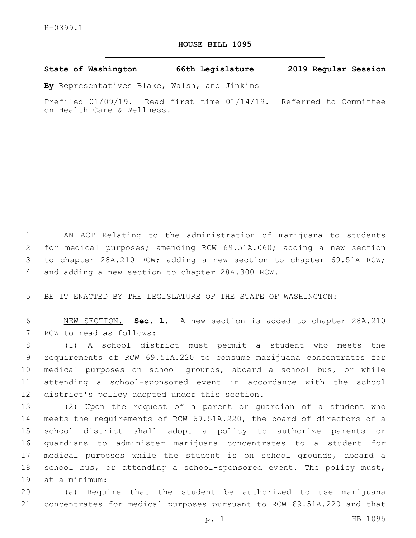## **HOUSE BILL 1095**

**State of Washington 66th Legislature 2019 Regular Session**

**By** Representatives Blake, Walsh, and Jinkins

Prefiled 01/09/19. Read first time 01/14/19. Referred to Committee on Health Care & Wellness.

 AN ACT Relating to the administration of marijuana to students for medical purposes; amending RCW 69.51A.060; adding a new section to chapter 28A.210 RCW; adding a new section to chapter 69.51A RCW; 4 and adding a new section to chapter 28A.300 RCW.

BE IT ENACTED BY THE LEGISLATURE OF THE STATE OF WASHINGTON:

 NEW SECTION. **Sec. 1.** A new section is added to chapter 28A.210 7 RCW to read as follows:

 (1) A school district must permit a student who meets the requirements of RCW 69.51A.220 to consume marijuana concentrates for medical purposes on school grounds, aboard a school bus, or while attending a school-sponsored event in accordance with the school 12 district's policy adopted under this section.

 (2) Upon the request of a parent or guardian of a student who meets the requirements of RCW 69.51A.220, the board of directors of a school district shall adopt a policy to authorize parents or guardians to administer marijuana concentrates to a student for medical purposes while the student is on school grounds, aboard a school bus, or attending a school-sponsored event. The policy must, 19 at a minimum:

 (a) Require that the student be authorized to use marijuana concentrates for medical purposes pursuant to RCW 69.51A.220 and that

p. 1 HB 1095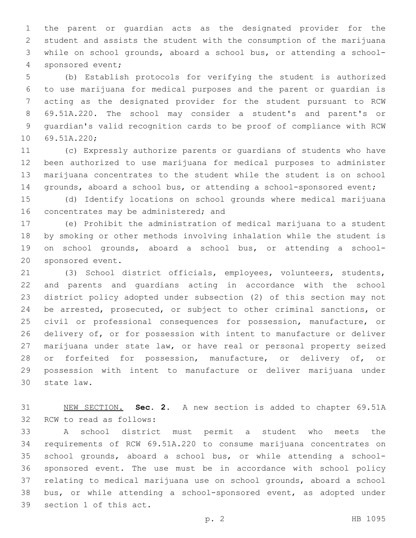the parent or guardian acts as the designated provider for the student and assists the student with the consumption of the marijuana while on school grounds, aboard a school bus, or attending a school-4 sponsored event;

 (b) Establish protocols for verifying the student is authorized to use marijuana for medical purposes and the parent or guardian is acting as the designated provider for the student pursuant to RCW 69.51A.220. The school may consider a student's and parent's or guardian's valid recognition cards to be proof of compliance with RCW 10 69.51A.220;

 (c) Expressly authorize parents or guardians of students who have been authorized to use marijuana for medical purposes to administer marijuana concentrates to the student while the student is on school grounds, aboard a school bus, or attending a school-sponsored event;

 (d) Identify locations on school grounds where medical marijuana 16 concentrates may be administered; and

 (e) Prohibit the administration of medical marijuana to a student by smoking or other methods involving inhalation while the student is on school grounds, aboard a school bus, or attending a school-20 sponsored event.

 (3) School district officials, employees, volunteers, students, and parents and guardians acting in accordance with the school district policy adopted under subsection (2) of this section may not be arrested, prosecuted, or subject to other criminal sanctions, or civil or professional consequences for possession, manufacture, or delivery of, or for possession with intent to manufacture or deliver marijuana under state law, or have real or personal property seized 28 or forfeited for possession, manufacture, or delivery of, or possession with intent to manufacture or deliver marijuana under 30 state law.

 NEW SECTION. **Sec. 2.** A new section is added to chapter 69.51A 32 RCW to read as follows:

 A school district must permit a student who meets the requirements of RCW 69.51A.220 to consume marijuana concentrates on school grounds, aboard a school bus, or while attending a school- sponsored event. The use must be in accordance with school policy relating to medical marijuana use on school grounds, aboard a school bus, or while attending a school-sponsored event, as adopted under 39 section 1 of this act.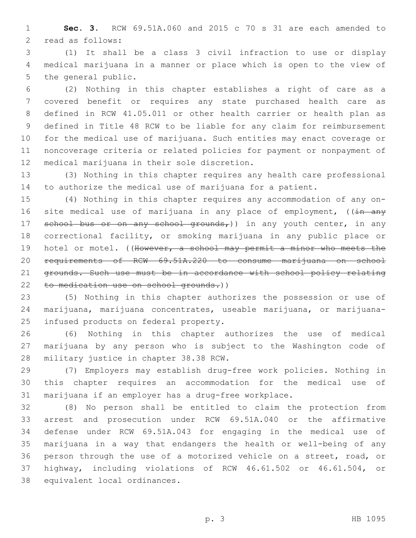**Sec. 3.** RCW 69.51A.060 and 2015 c 70 s 31 are each amended to 2 read as follows:

 (1) It shall be a class 3 civil infraction to use or display medical marijuana in a manner or place which is open to the view of 5 the general public.

 (2) Nothing in this chapter establishes a right of care as a covered benefit or requires any state purchased health care as defined in RCW 41.05.011 or other health carrier or health plan as defined in Title 48 RCW to be liable for any claim for reimbursement for the medical use of marijuana. Such entities may enact coverage or noncoverage criteria or related policies for payment or nonpayment of 12 medical marijuana in their sole discretion.

 (3) Nothing in this chapter requires any health care professional to authorize the medical use of marijuana for a patient.

 (4) Nothing in this chapter requires any accommodation of any on-16 site medical use of marijuana in any place of employment, ((in any 17 school bus or on any school grounds,)) in any youth center, in any correctional facility, or smoking marijuana in any public place or 19 hotel or motel. ((However, a school may permit a minor who meets the requirements of RCW 69.51A.220 to consume marijuana on school 21 grounds. Such use must be in accordance with school policy relating to medication use on school grounds.))

 (5) Nothing in this chapter authorizes the possession or use of marijuana, marijuana concentrates, useable marijuana, or marijuana-25 infused products on federal property.

 (6) Nothing in this chapter authorizes the use of medical marijuana by any person who is subject to the Washington code of 28 military justice in chapter 38.38 RCW.

 (7) Employers may establish drug-free work policies. Nothing in this chapter requires an accommodation for the medical use of marijuana if an employer has a drug-free workplace.

 (8) No person shall be entitled to claim the protection from arrest and prosecution under RCW 69.51A.040 or the affirmative defense under RCW 69.51A.043 for engaging in the medical use of marijuana in a way that endangers the health or well-being of any person through the use of a motorized vehicle on a street, road, or highway, including violations of RCW 46.61.502 or 46.61.504, or 38 equivalent local ordinances.